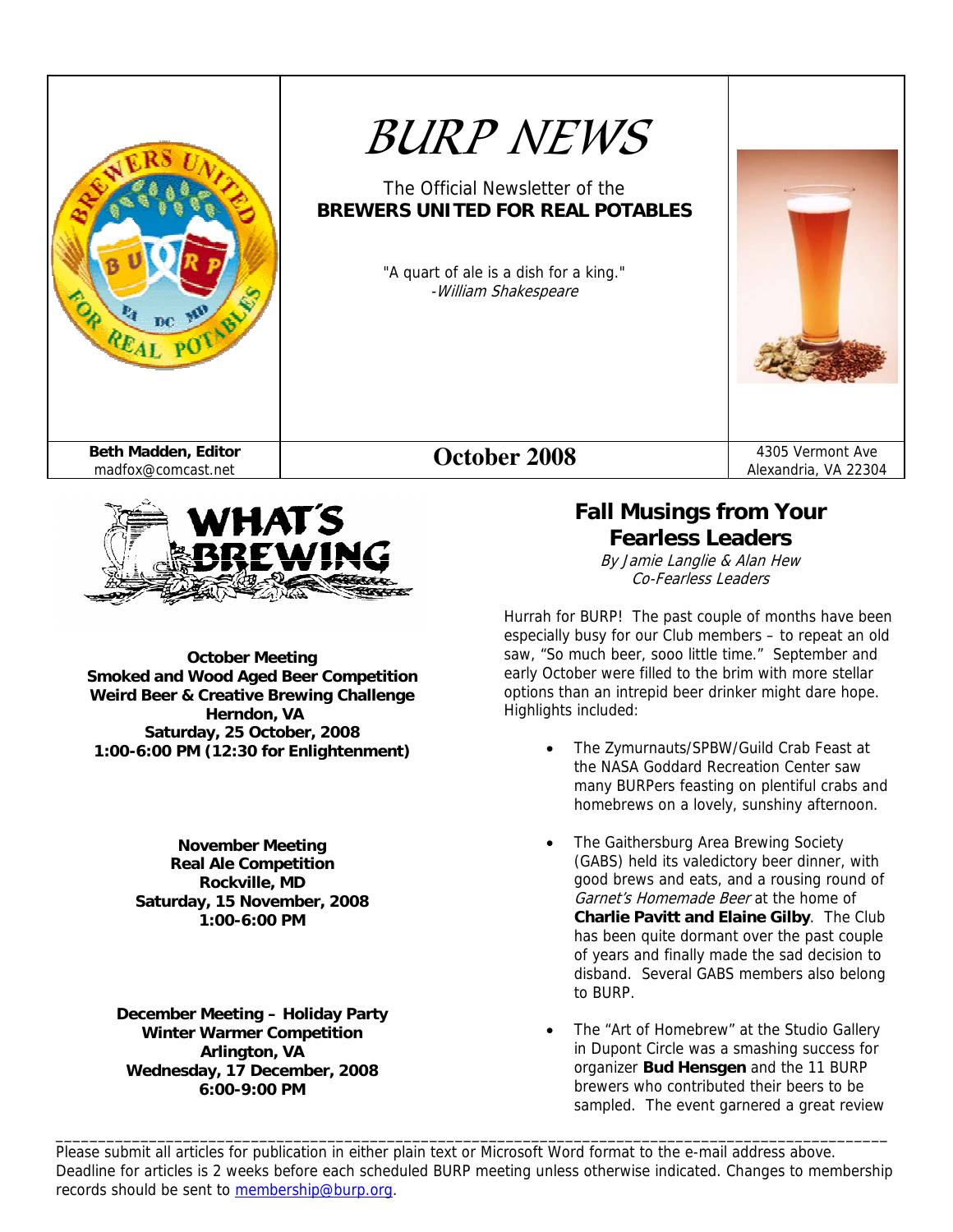



**October Meeting Smoked and Wood Aged Beer Competition Weird Beer & Creative Brewing Challenge Herndon, VA Saturday, 25 October, 2008 1:00-6:00 PM (12:30 for Enlightenment)** 

> **November Meeting Real Ale Competition Rockville, MD Saturday, 15 November, 2008 1:00-6:00 PM**

**December Meeting – Holiday Party Winter Warmer Competition Arlington, VA Wednesday, 17 December, 2008 6:00-9:00 PM** 

# **Fall Musings from Your Fearless Leaders**

By Jamie Langlie & Alan Hew Co-Fearless Leaders

Hurrah for BURP! The past couple of months have been especially busy for our Club members – to repeat an old saw, "So much beer, sooo little time." September and early October were filled to the brim with more stellar options than an intrepid beer drinker might dare hope. Highlights included:

- The Zymurnauts/SPBW/Guild Crab Feast at the NASA Goddard Recreation Center saw many BURPers feasting on plentiful crabs and homebrews on a lovely, sunshiny afternoon.
- The Gaithersburg Area Brewing Society (GABS) held its valedictory beer dinner, with good brews and eats, and a rousing round of Garnet's Homemade Beer at the home of **Charlie Pavitt and Elaine Gilby**. The Club has been quite dormant over the past couple of years and finally made the sad decision to disband. Several GABS members also belong to BURP.
- The "Art of Homebrew" at the Studio Gallery in Dupont Circle was a smashing success for organizer **Bud Hensgen** and the 11 BURP brewers who contributed their beers to be sampled. The event garnered a great review

Please submit all articles for publication in either plain text or Microsoft Word format to the e-mail address above. Deadline for articles is 2 weeks before each scheduled BURP meeting unless otherwise indicated. Changes to membership records should be sent to membership@burp.org.

\_\_\_\_\_\_\_\_\_\_\_\_\_\_\_\_\_\_\_\_\_\_\_\_\_\_\_\_\_\_\_\_\_\_\_\_\_\_\_\_\_\_\_\_\_\_\_\_\_\_\_\_\_\_\_\_\_\_\_\_\_\_\_\_\_\_\_\_\_\_\_\_\_\_\_\_\_\_\_\_\_\_\_\_\_\_\_\_\_\_\_\_\_\_\_\_\_\_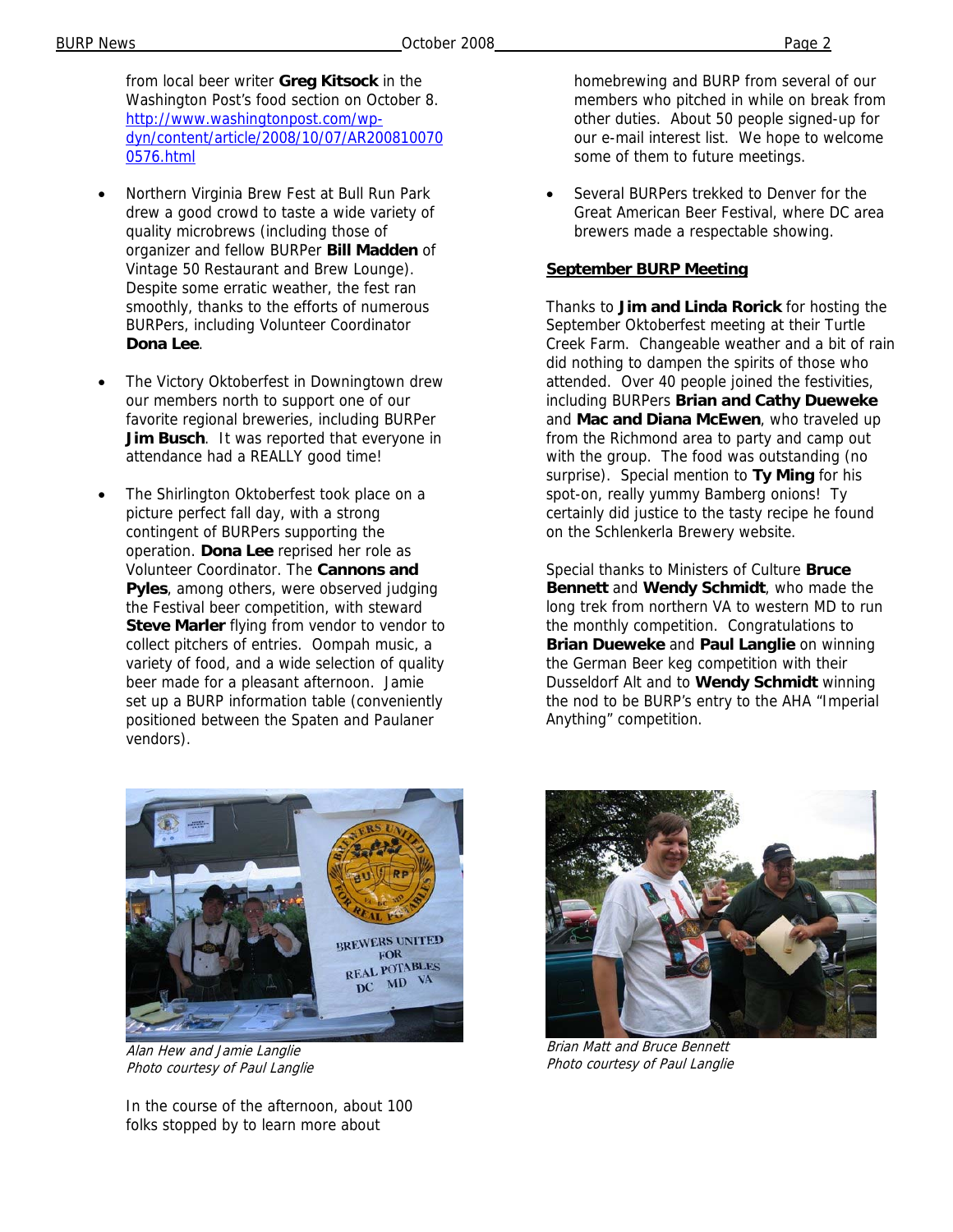BURP News **Page 2 Page 2 Page 2 Page 2 Page 2 Page 2 Page 2 Page 2 Page 2** 

from local beer writer **Greg Kitsock** in the Washington Post's food section on October 8. http://www.washingtonpost.com/wpdyn/content/article/2008/10/07/AR200810070 0576.html

- Northern Virginia Brew Fest at Bull Run Park drew a good crowd to taste a wide variety of quality microbrews (including those of organizer and fellow BURPer **Bill Madden** of Vintage 50 Restaurant and Brew Lounge). Despite some erratic weather, the fest ran smoothly, thanks to the efforts of numerous BURPers, including Volunteer Coordinator **Dona Lee**.
- The Victory Oktoberfest in Downingtown drew our members north to support one of our favorite regional breweries, including BURPer **Jim Busch**. It was reported that everyone in attendance had a REALLY good time!
- The Shirlington Oktoberfest took place on a picture perfect fall day, with a strong contingent of BURPers supporting the operation. **Dona Lee** reprised her role as Volunteer Coordinator. The **Cannons and Pyles**, among others, were observed judging the Festival beer competition, with steward **Steve Marler** flying from vendor to vendor to collect pitchers of entries. Oompah music, a variety of food, and a wide selection of quality beer made for a pleasant afternoon. Jamie set up a BURP information table (conveniently positioned between the Spaten and Paulaner vendors).



Alan Hew and Jamie Langlie Photo courtesy of Paul Langlie

In the course of the afternoon, about 100 folks stopped by to learn more about

homebrewing and BURP from several of our members who pitched in while on break from other duties. About 50 people signed-up for our e-mail interest list. We hope to welcome some of them to future meetings.

Several BURPers trekked to Denver for the Great American Beer Festival, where DC area brewers made a respectable showing.

#### **September BURP Meeting**

Thanks to **Jim and Linda Rorick** for hosting the September Oktoberfest meeting at their Turtle Creek Farm. Changeable weather and a bit of rain did nothing to dampen the spirits of those who attended. Over 40 people joined the festivities, including BURPers **Brian and Cathy Dueweke** and **Mac and Diana McEwen**, who traveled up from the Richmond area to party and camp out with the group. The food was outstanding (no surprise). Special mention to **Ty Ming** for his spot-on, really yummy Bamberg onions! Ty certainly did justice to the tasty recipe he found on the Schlenkerla Brewery website.

Special thanks to Ministers of Culture **Bruce Bennett** and **Wendy Schmidt**, who made the long trek from northern VA to western MD to run the monthly competition. Congratulations to **Brian Dueweke** and **Paul Langlie** on winning the German Beer keg competition with their Dusseldorf Alt and to **Wendy Schmidt** winning the nod to be BURP's entry to the AHA "Imperial Anything" competition.



Brian Matt and Bruce Bennett Photo courtesy of Paul Langlie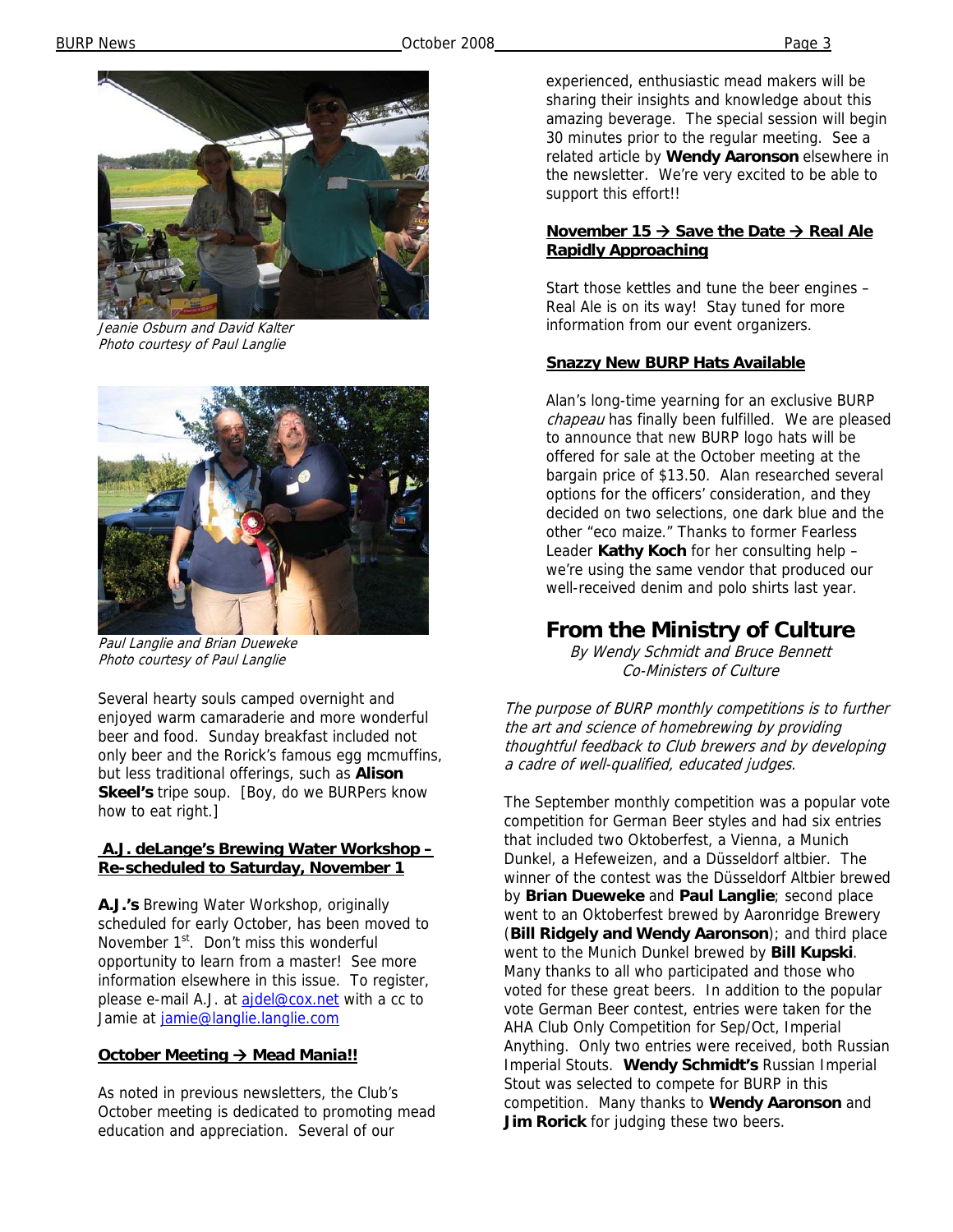

Jeanie Osburn and David Kalter Photo courtesy of Paul Langlie



Paul Langlie and Brian Dueweke Photo courtesy of Paul Langlie

Several hearty souls camped overnight and enjoyed warm camaraderie and more wonderful beer and food. Sunday breakfast included not only beer and the Rorick's famous egg mcmuffins, but less traditional offerings, such as **Alison Skeel's** tripe soup. [Boy, do we BURPers know how to eat right.]

#### **A.J. deLange's Brewing Water Workshop – Re-scheduled to Saturday, November 1**

**A.J.'s** Brewing Water Workshop, originally scheduled for early October, has been moved to November 1<sup>st</sup>. Don't miss this wonderful opportunity to learn from a master! See more information elsewhere in this issue. To register, please e-mail A.J. at ajdel@cox.net with a cc to Jamie at jamie@langlie.langlie.com

### **October Meeting → Mead Mania!!**

As noted in previous newsletters, the Club's October meeting is dedicated to promoting mead education and appreciation. Several of our

experienced, enthusiastic mead makers will be sharing their insights and knowledge about this amazing beverage. The special session will begin 30 minutes prior to the regular meeting. See a related article by **Wendy Aaronson** elsewhere in the newsletter. We're very excited to be able to support this effort!!

### **November 15 → Save the Date → Real Ale Rapidly Approaching**

Start those kettles and tune the beer engines – Real Ale is on its way! Stay tuned for more information from our event organizers.

### **Snazzy New BURP Hats Available**

Alan's long-time yearning for an exclusive BURP chapeau has finally been fulfilled. We are pleased to announce that new BURP logo hats will be offered for sale at the October meeting at the bargain price of \$13.50. Alan researched several options for the officers' consideration, and they decided on two selections, one dark blue and the other "eco maize." Thanks to former Fearless Leader **Kathy Koch** for her consulting help – we're using the same vendor that produced our well-received denim and polo shirts last year.

# **From the Ministry of Culture**

By Wendy Schmidt and Bruce Bennett Co-Ministers of Culture

The purpose of BURP monthly competitions is to further the art and science of homebrewing by providing thoughtful feedback to Club brewers and by developing a cadre of well-qualified, educated judges.

The September monthly competition was a popular vote competition for German Beer styles and had six entries that included two Oktoberfest, a Vienna, a Munich Dunkel, a Hefeweizen, and a Düsseldorf altbier. The winner of the contest was the Düsseldorf Altbier brewed by **Brian Dueweke** and **Paul Langlie**; second place went to an Oktoberfest brewed by Aaronridge Brewery (**Bill Ridgely and Wendy Aaronson**); and third place went to the Munich Dunkel brewed by **Bill Kupski**. Many thanks to all who participated and those who voted for these great beers. In addition to the popular vote German Beer contest, entries were taken for the AHA Club Only Competition for Sep/Oct, Imperial Anything. Only two entries were received, both Russian Imperial Stouts. **Wendy Schmidt's** Russian Imperial Stout was selected to compete for BURP in this competition. Many thanks to **Wendy Aaronson** and **Jim Rorick** for judging these two beers.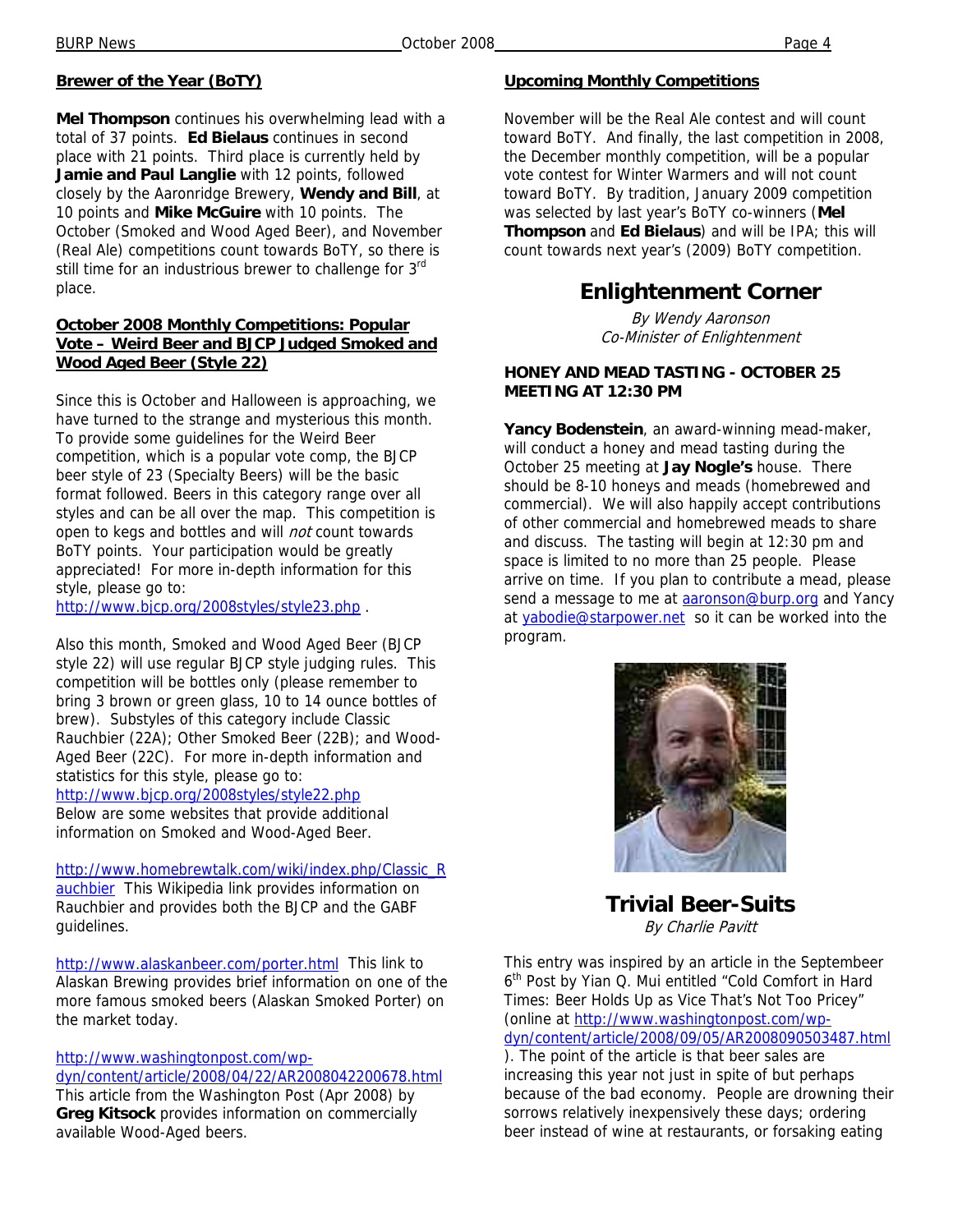### **Brewer of the Year (BoTY)**

**Mel Thompson** continues his overwhelming lead with a total of 37 points. **Ed Bielaus** continues in second place with 21 points. Third place is currently held by **Jamie and Paul Langlie** with 12 points, followed closely by the Aaronridge Brewery, **Wendy and Bill**, at 10 points and **Mike McGuire** with 10 points. The October (Smoked and Wood Aged Beer), and November (Real Ale) competitions count towards BoTY, so there is still time for an industrious brewer to challenge for 3rd place.

#### **October 2008 Monthly Competitions: Popular Vote – Weird Beer and BJCP Judged Smoked and Wood Aged Beer (Style 22)**

Since this is October and Halloween is approaching, we have turned to the strange and mysterious this month. To provide some guidelines for the Weird Beer competition, which is a popular vote comp, the BJCP beer style of 23 (Specialty Beers) will be the basic format followed. Beers in this category range over all styles and can be all over the map. This competition is open to kegs and bottles and will *not* count towards BoTY points. Your participation would be greatly appreciated! For more in-depth information for this style, please go to:

http://www.bjcp.org/2008styles/style23.php .

Also this month, Smoked and Wood Aged Beer (BJCP style 22) will use regular BJCP style judging rules. This competition will be bottles only (please remember to bring 3 brown or green glass, 10 to 14 ounce bottles of brew). Substyles of this category include Classic Rauchbier (22A); Other Smoked Beer (22B); and Wood-Aged Beer (22C). For more in-depth information and statistics for this style, please go to:

http://www.bjcp.org/2008styles/style22.php

Below are some websites that provide additional information on Smoked and Wood-Aged Beer.

http://www.homebrewtalk.com/wiki/index.php/Classic\_R auchbier This Wikipedia link provides information on Rauchbier and provides both the BJCP and the GABF guidelines.

http://www.alaskanbeer.com/porter.html This link to Alaskan Brewing provides brief information on one of the more famous smoked beers (Alaskan Smoked Porter) on the market today.

http://www.washingtonpost.com/wp-

dyn/content/article/2008/04/22/AR2008042200678.html This article from the Washington Post (Apr 2008) by **Greg Kitsock** provides information on commercially available Wood-Aged beers.

### **Upcoming Monthly Competitions**

November will be the Real Ale contest and will count toward BoTY. And finally, the last competition in 2008, the December monthly competition, will be a popular vote contest for Winter Warmers and will not count toward BoTY. By tradition, January 2009 competition was selected by last year's BoTY co-winners (**Mel Thompson** and **Ed Bielaus**) and will be IPA; this will count towards next year's (2009) BoTY competition.

# **Enlightenment Corner**

By Wendy Aaronson Co-Minister of Enlightenment

### **HONEY AND MEAD TASTING - OCTOBER 25 MEETING AT 12:30 PM**

**Yancy Bodenstein**, an award-winning mead-maker, will conduct a honey and mead tasting during the October 25 meeting at **Jay Nogle's** house. There should be 8-10 honeys and meads (homebrewed and commercial). We will also happily accept contributions of other commercial and homebrewed meads to share and discuss. The tasting will begin at 12:30 pm and space is limited to no more than 25 people. Please arrive on time. If you plan to contribute a mead, please send a message to me at **aaronson@burp.org** and Yancy at yabodie@starpower.net so it can be worked into the program.



**Trivial Beer-Suits**  By Charlie Pavitt

This entry was inspired by an article in the Septembeer 6<sup>th</sup> Post by Yian Q. Mui entitled "Cold Comfort in Hard Times: Beer Holds Up as Vice That's Not Too Pricey" (online at http://www.washingtonpost.com/wpdyn/content/article/2008/09/05/AR2008090503487.html ). The point of the article is that beer sales are increasing this year not just in spite of but perhaps because of the bad economy. People are drowning their sorrows relatively inexpensively these days; ordering beer instead of wine at restaurants, or forsaking eating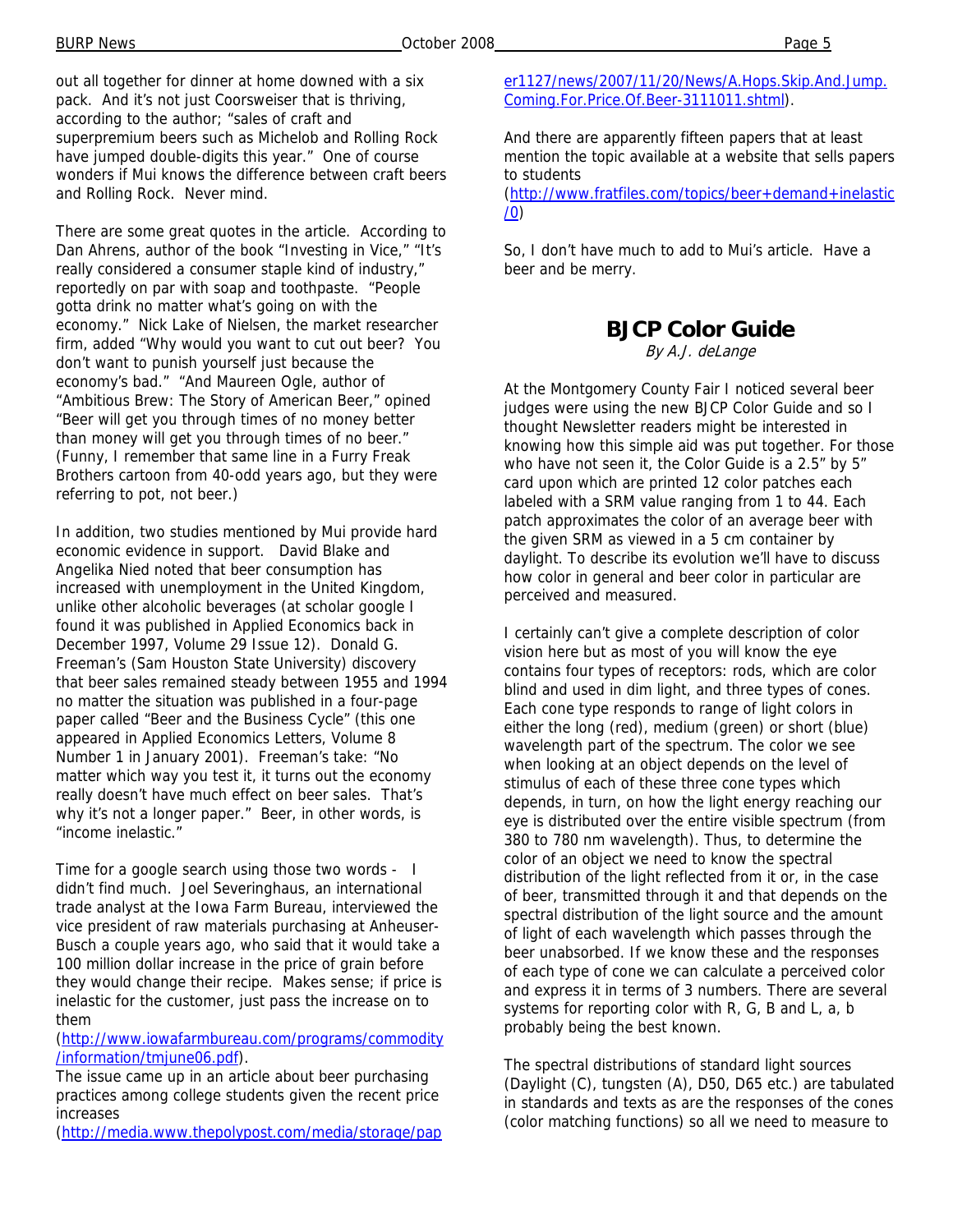out all together for dinner at home downed with a six pack. And it's not just Coorsweiser that is thriving, according to the author; "sales of craft and superpremium beers such as Michelob and Rolling Rock have jumped double-digits this year." One of course wonders if Mui knows the difference between craft beers and Rolling Rock. Never mind.

There are some great quotes in the article. According to Dan Ahrens, author of the book "Investing in Vice," "It's really considered a consumer staple kind of industry," reportedly on par with soap and toothpaste. "People gotta drink no matter what's going on with the economy." Nick Lake of Nielsen, the market researcher firm, added "Why would you want to cut out beer? You don't want to punish yourself just because the economy's bad." "And Maureen Ogle, author of "Ambitious Brew: The Story of American Beer," opined "Beer will get you through times of no money better than money will get you through times of no beer." (Funny, I remember that same line in a Furry Freak Brothers cartoon from 40-odd years ago, but they were referring to pot, not beer.)

In addition, two studies mentioned by Mui provide hard economic evidence in support. David Blake and Angelika Nied noted that beer consumption has increased with unemployment in the United Kingdom, unlike other alcoholic beverages (at scholar google I found it was published in Applied Economics back in December 1997, Volume 29 Issue 12). Donald G. Freeman's (Sam Houston State University) discovery that beer sales remained steady between 1955 and 1994 no matter the situation was published in a four-page paper called "Beer and the Business Cycle" (this one appeared in Applied Economics Letters, Volume 8 Number 1 in January 2001). Freeman's take: "No matter which way you test it, it turns out the economy really doesn't have much effect on beer sales. That's why it's not a longer paper." Beer, in other words, is "income inelastic."

Time for a google search using those two words - I didn't find much. Joel Severinghaus, an international trade analyst at the Iowa Farm Bureau, interviewed the vice president of raw materials purchasing at Anheuser-Busch a couple years ago, who said that it would take a 100 million dollar increase in the price of grain before they would change their recipe. Makes sense; if price is inelastic for the customer, just pass the increase on to them

(http://www.iowafarmbureau.com/programs/commodity /information/tmjune06.pdf).

The issue came up in an article about beer purchasing practices among college students given the recent price increases

(http://media.www.thepolypost.com/media/storage/pap

er1127/news/2007/11/20/News/A.Hops.Skip.And.Jump. Coming.For.Price.Of.Beer-3111011.shtml).

And there are apparently fifteen papers that at least mention the topic available at a website that sells papers to students

(http://www.fratfiles.com/topics/beer+demand+inelastic /0)

So, I don't have much to add to Mui's article. Have a beer and be merry.

## **BJCP Color Guide**

By A.J. deLange

At the Montgomery County Fair I noticed several beer judges were using the new BJCP Color Guide and so I thought Newsletter readers might be interested in knowing how this simple aid was put together. For those who have not seen it, the Color Guide is a 2.5" by 5" card upon which are printed 12 color patches each labeled with a SRM value ranging from 1 to 44. Each patch approximates the color of an average beer with the given SRM as viewed in a 5 cm container by daylight. To describe its evolution we'll have to discuss how color in general and beer color in particular are perceived and measured.

I certainly can't give a complete description of color vision here but as most of you will know the eye contains four types of receptors: rods, which are color blind and used in dim light, and three types of cones. Each cone type responds to range of light colors in either the long (red), medium (green) or short (blue) wavelength part of the spectrum. The color we see when looking at an object depends on the level of stimulus of each of these three cone types which depends, in turn, on how the light energy reaching our eye is distributed over the entire visible spectrum (from 380 to 780 nm wavelength). Thus, to determine the color of an object we need to know the spectral distribution of the light reflected from it or, in the case of beer, transmitted through it and that depends on the spectral distribution of the light source and the amount of light of each wavelength which passes through the beer unabsorbed. If we know these and the responses of each type of cone we can calculate a perceived color and express it in terms of 3 numbers. There are several systems for reporting color with R, G, B and L, a, b probably being the best known.

The spectral distributions of standard light sources (Daylight (C), tungsten (A), D50, D65 etc.) are tabulated in standards and texts as are the responses of the cones (color matching functions) so all we need to measure to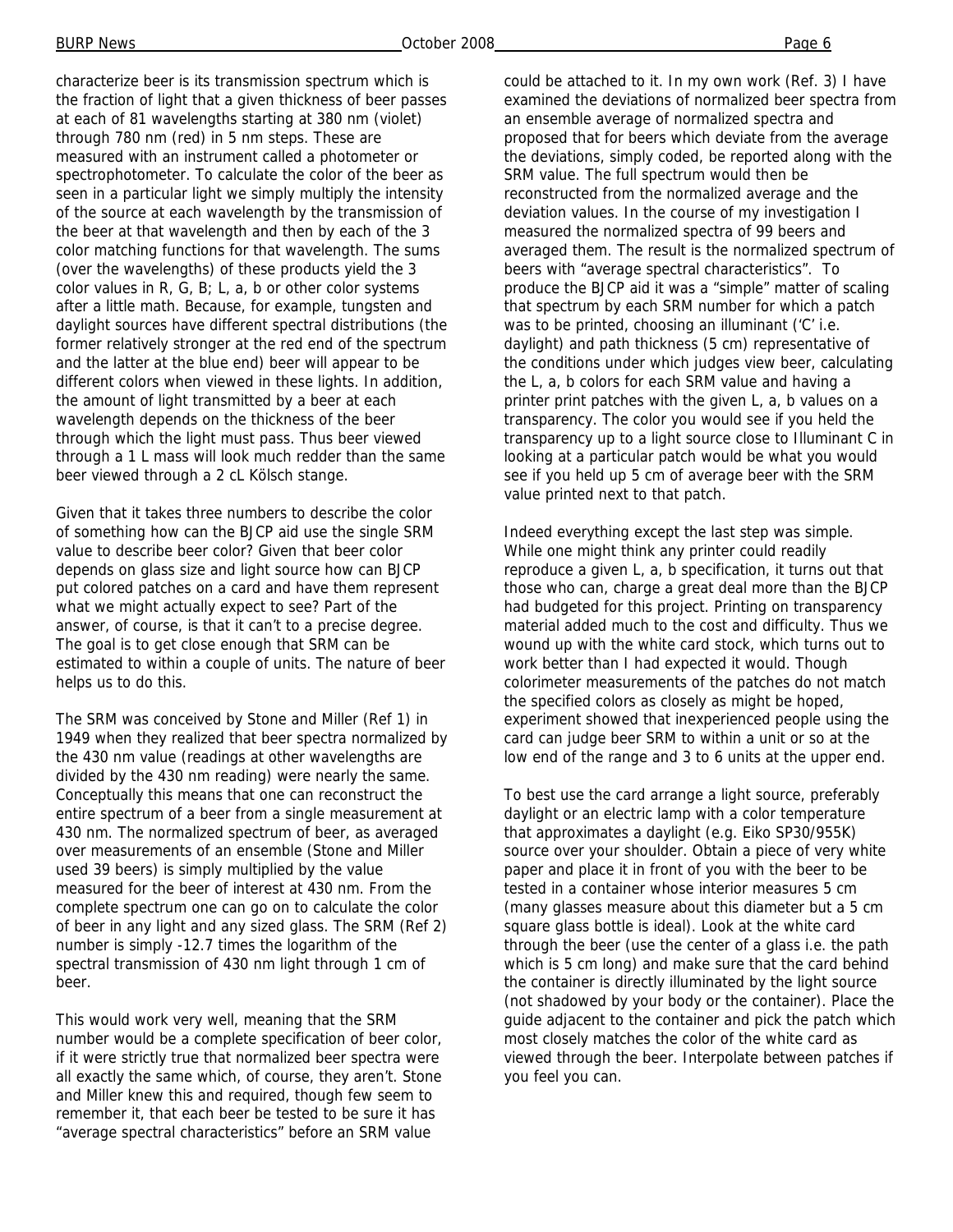characterize beer is its transmission spectrum which is the fraction of light that a given thickness of beer passes at each of 81 wavelengths starting at 380 nm (violet) through 780 nm (red) in 5 nm steps. These are measured with an instrument called a photometer or spectrophotometer. To calculate the color of the beer as seen in a particular light we simply multiply the intensity of the source at each wavelength by the transmission of the beer at that wavelength and then by each of the 3 color matching functions for that wavelength. The sums (over the wavelengths) of these products yield the 3 color values in R, G, B; L, a, b or other color systems after a little math. Because, for example, tungsten and daylight sources have different spectral distributions (the former relatively stronger at the red end of the spectrum and the latter at the blue end) beer will appear to be different colors when viewed in these lights. In addition, the amount of light transmitted by a beer at each wavelength depends on the thickness of the beer through which the light must pass. Thus beer viewed through a 1 L mass will look much redder than the same beer viewed through a 2 cL Kölsch stange.

Given that it takes three numbers to describe the color of something how can the BJCP aid use the single SRM value to describe beer color? Given that beer color depends on glass size and light source how can BJCP put colored patches on a card and have them represent what we might actually expect to see? Part of the answer, of course, is that it can't to a precise degree. The goal is to get close enough that SRM can be estimated to within a couple of units. The nature of beer helps us to do this.

The SRM was conceived by Stone and Miller (Ref 1) in 1949 when they realized that beer spectra normalized by the 430 nm value (readings at other wavelengths are divided by the 430 nm reading) were nearly the same. Conceptually this means that one can reconstruct the entire spectrum of a beer from a single measurement at 430 nm. The normalized spectrum of beer, as averaged over measurements of an ensemble (Stone and Miller used 39 beers) is simply multiplied by the value measured for the beer of interest at 430 nm. From the complete spectrum one can go on to calculate the color of beer in any light and any sized glass. The SRM (Ref 2) number is simply -12.7 times the logarithm of the spectral transmission of 430 nm light through 1 cm of beer.

This would work very well, meaning that the SRM number would be a complete specification of beer color, if it were strictly true that normalized beer spectra were all exactly the same which, of course, they aren't. Stone and Miller knew this and required, though few seem to remember it, that each beer be tested to be sure it has "average spectral characteristics" before an SRM value

could be attached to it. In my own work (Ref. 3) I have examined the deviations of normalized beer spectra from an ensemble average of normalized spectra and proposed that for beers which deviate from the average the deviations, simply coded, be reported along with the SRM value. The full spectrum would then be reconstructed from the normalized average and the deviation values. In the course of my investigation I measured the normalized spectra of 99 beers and averaged them. The result is the normalized spectrum of beers with "average spectral characteristics". To produce the BJCP aid it was a "simple" matter of scaling that spectrum by each SRM number for which a patch was to be printed, choosing an illuminant ('C' i.e. daylight) and path thickness (5 cm) representative of the conditions under which judges view beer, calculating the L, a, b colors for each SRM value and having a printer print patches with the given L, a, b values on a transparency. The color you would see if you held the transparency up to a light source close to Illuminant C in looking at a particular patch would be what you would see if you held up 5 cm of average beer with the SRM value printed next to that patch.

Indeed everything except the last step was simple. While one might think any printer could readily reproduce a given L, a, b specification, it turns out that those who can, charge a great deal more than the BJCP had budgeted for this project. Printing on transparency material added much to the cost and difficulty. Thus we wound up with the white card stock, which turns out to work better than I had expected it would. Though colorimeter measurements of the patches do not match the specified colors as closely as might be hoped, experiment showed that inexperienced people using the card can judge beer SRM to within a unit or so at the low end of the range and 3 to 6 units at the upper end.

To best use the card arrange a light source, preferably daylight or an electric lamp with a color temperature that approximates a daylight (e.g. Eiko SP30/955K) source over your shoulder. Obtain a piece of very white paper and place it in front of you with the beer to be tested in a container whose interior measures 5 cm (many glasses measure about this diameter but a 5 cm square glass bottle is ideal). Look at the white card through the beer (use the center of a glass i.e. the path which is 5 cm long) and make sure that the card behind the container is directly illuminated by the light source (not shadowed by your body or the container). Place the guide adjacent to the container and pick the patch which most closely matches the color of the white card as viewed through the beer. Interpolate between patches if you feel you can.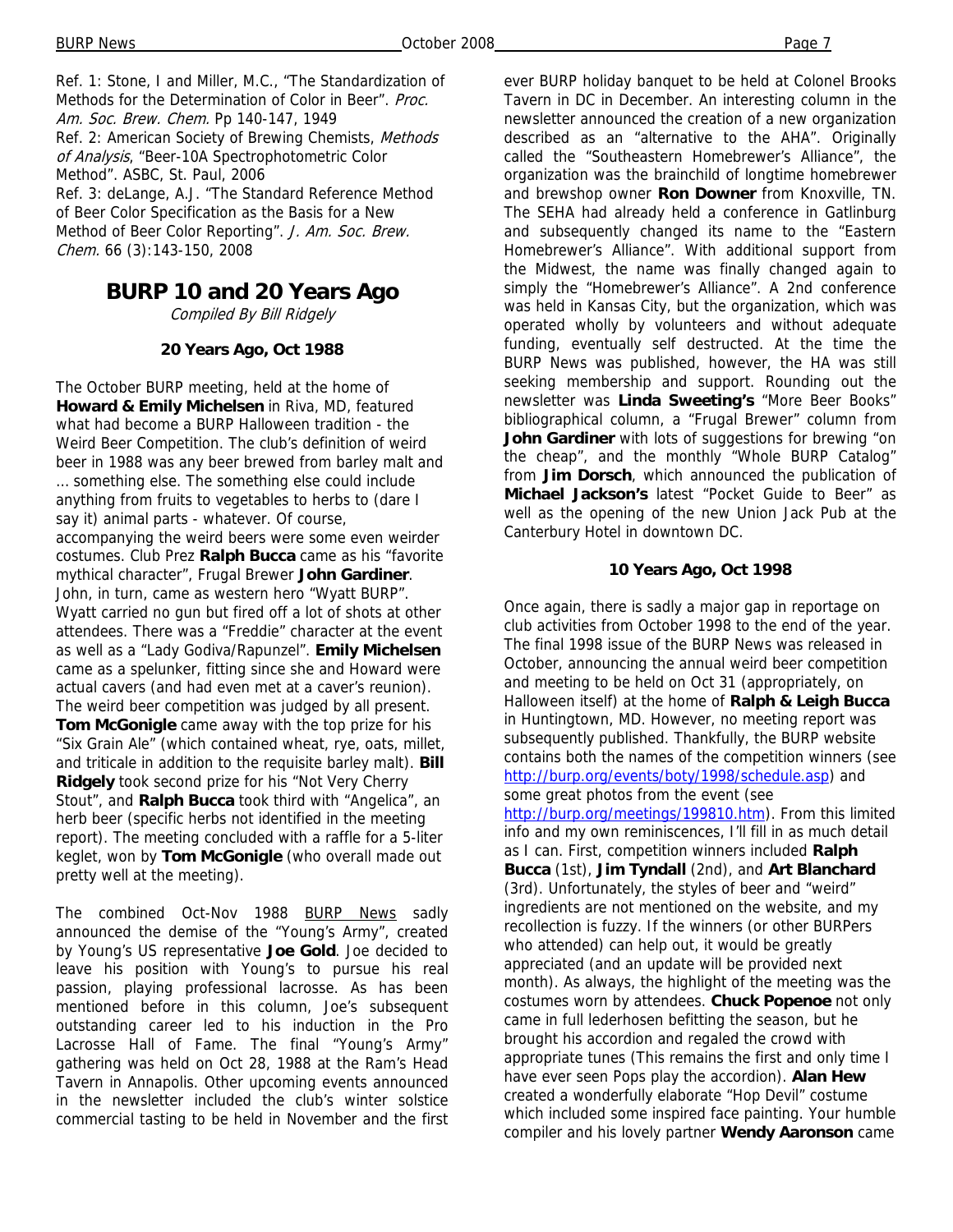Ref. 1: Stone, I and Miller, M.C., "The Standardization of Methods for the Determination of Color in Beer". Proc. Am. Soc. Brew. Chem. Pp 140-147, 1949 Ref. 2: American Society of Brewing Chemists, Methods of Analysis, "Beer-10A Spectrophotometric Color Method". ASBC, St. Paul, 2006 Ref. 3: deLange, A.J. "The Standard Reference Method of Beer Color Specification as the Basis for a New Method of Beer Color Reporting". J. Am. Soc. Brew. Chem. 66 (3):143-150, 2008

# **BURP 10 and 20 Years Ago**

Compiled By Bill Ridgely

#### **20 Years Ago, Oct 1988**

The October BURP meeting, held at the home of **Howard & Emily Michelsen** in Riva, MD, featured what had become a BURP Halloween tradition - the Weird Beer Competition. The club's definition of weird beer in 1988 was any beer brewed from barley malt and … something else. The something else could include anything from fruits to vegetables to herbs to (dare I say it) animal parts - whatever. Of course, accompanying the weird beers were some even weirder costumes. Club Prez **Ralph Bucca** came as his "favorite mythical character", Frugal Brewer **John Gardiner**. John, in turn, came as western hero "Wyatt BURP". Wyatt carried no gun but fired off a lot of shots at other attendees. There was a "Freddie" character at the event as well as a "Lady Godiva/Rapunzel". **Emily Michelsen**  came as a spelunker, fitting since she and Howard were actual cavers (and had even met at a caver's reunion). The weird beer competition was judged by all present. **Tom McGonigle** came away with the top prize for his "Six Grain Ale" (which contained wheat, rye, oats, millet, and triticale in addition to the requisite barley malt). **Bill Ridgely** took second prize for his "Not Very Cherry Stout", and **Ralph Bucca** took third with "Angelica", an herb beer (specific herbs not identified in the meeting report). The meeting concluded with a raffle for a 5-liter keglet, won by **Tom McGonigle** (who overall made out pretty well at the meeting).

The combined Oct-Nov 1988 BURP News sadly announced the demise of the "Young's Army", created by Young's US representative **Joe Gold**. Joe decided to leave his position with Young's to pursue his real passion, playing professional lacrosse. As has been mentioned before in this column, Joe's subsequent outstanding career led to his induction in the Pro Lacrosse Hall of Fame. The final "Young's Army" gathering was held on Oct 28, 1988 at the Ram's Head Tavern in Annapolis. Other upcoming events announced in the newsletter included the club's winter solstice commercial tasting to be held in November and the first

ever BURP holiday banquet to be held at Colonel Brooks Tavern in DC in December. An interesting column in the newsletter announced the creation of a new organization described as an "alternative to the AHA". Originally called the "Southeastern Homebrewer's Alliance", the organization was the brainchild of longtime homebrewer and brewshop owner **Ron Downer** from Knoxville, TN. The SEHA had already held a conference in Gatlinburg and subsequently changed its name to the "Eastern Homebrewer's Alliance". With additional support from the Midwest, the name was finally changed again to simply the "Homebrewer's Alliance". A 2nd conference was held in Kansas City, but the organization, which was operated wholly by volunteers and without adequate funding, eventually self destructed. At the time the BURP News was published, however, the HA was still seeking membership and support. Rounding out the newsletter was **Linda Sweeting's** "More Beer Books" bibliographical column, a "Frugal Brewer" column from **John Gardiner** with lots of suggestions for brewing "on the cheap", and the monthly "Whole BURP Catalog" from **Jim Dorsch**, which announced the publication of **Michael Jackson's** latest "Pocket Guide to Beer" as well as the opening of the new Union Jack Pub at the Canterbury Hotel in downtown DC.

#### **10 Years Ago, Oct 1998**

Once again, there is sadly a major gap in reportage on club activities from October 1998 to the end of the year. The final 1998 issue of the BURP News was released in October, announcing the annual weird beer competition and meeting to be held on Oct 31 (appropriately, on Halloween itself) at the home of **Ralph & Leigh Bucca**  in Huntingtown, MD. However, no meeting report was subsequently published. Thankfully, the BURP website contains both the names of the competition winners (see http://burp.org/events/boty/1998/schedule.asp) and some great photos from the event (see http://burp.org/meetings/199810.htm). From this limited info and my own reminiscences, I'll fill in as much detail as I can. First, competition winners included **Ralph Bucca** (1st), **Jim Tyndall** (2nd), and **Art Blanchard**  (3rd). Unfortunately, the styles of beer and "weird" ingredients are not mentioned on the website, and my recollection is fuzzy. If the winners (or other BURPers who attended) can help out, it would be greatly appreciated (and an update will be provided next month). As always, the highlight of the meeting was the costumes worn by attendees. **Chuck Popenoe** not only came in full lederhosen befitting the season, but he brought his accordion and regaled the crowd with appropriate tunes (This remains the first and only time I have ever seen Pops play the accordion). **Alan Hew**  created a wonderfully elaborate "Hop Devil" costume which included some inspired face painting. Your humble compiler and his lovely partner **Wendy Aaronson** came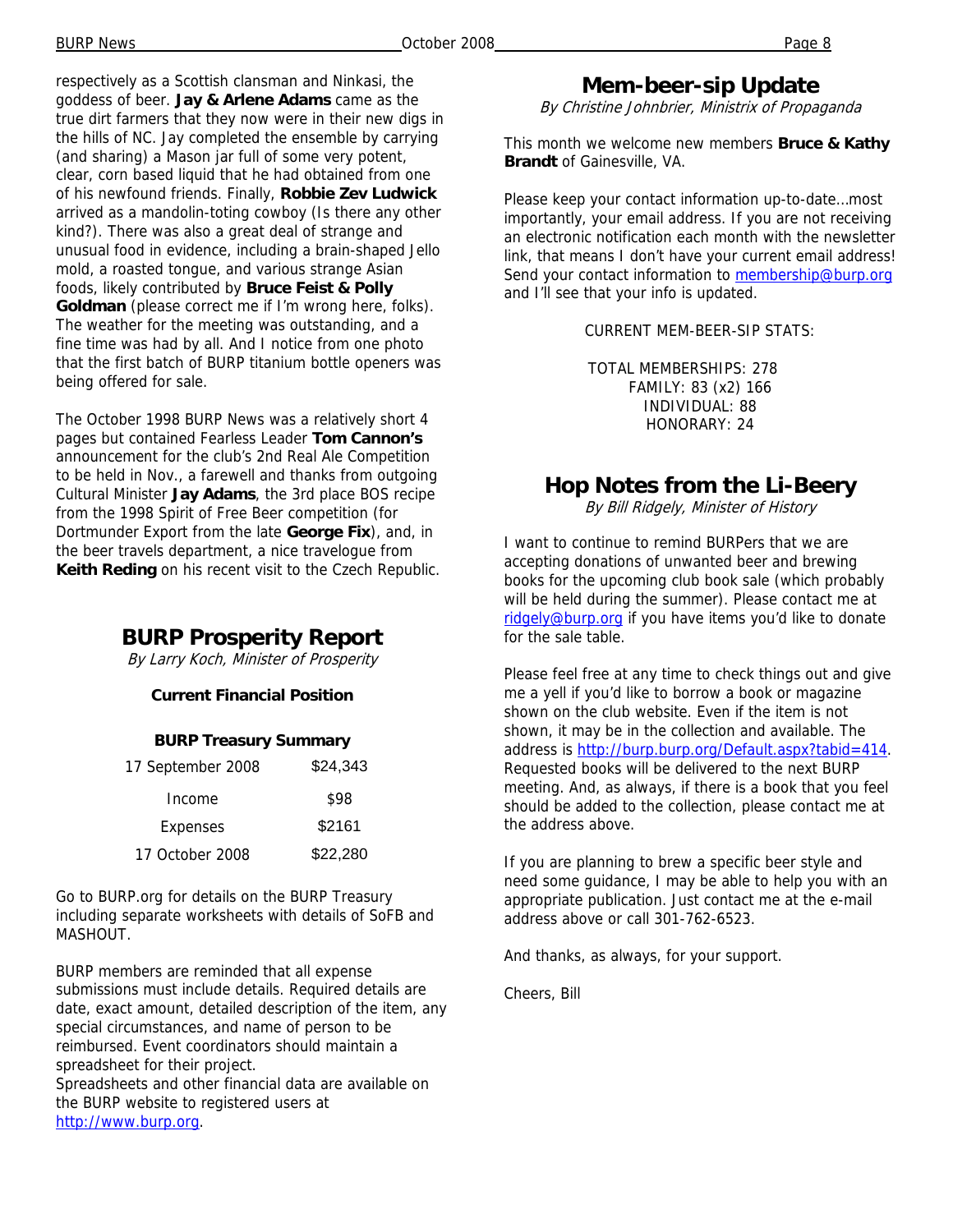respectively as a Scottish clansman and Ninkasi, the goddess of beer. **Jay & Arlene Adams** came as the true dirt farmers that they now were in their new digs in the hills of NC. Jay completed the ensemble by carrying (and sharing) a Mason jar full of some very potent, clear, corn based liquid that he had obtained from one of his newfound friends. Finally, **Robbie Zev Ludwick**  arrived as a mandolin-toting cowboy (Is there any other kind?). There was also a great deal of strange and unusual food in evidence, including a brain-shaped Jello mold, a roasted tongue, and various strange Asian foods, likely contributed by **Bruce Feist & Polly Goldman** (please correct me if I'm wrong here, folks). The weather for the meeting was outstanding, and a fine time was had by all. And I notice from one photo that the first batch of BURP titanium bottle openers was being offered for sale.

The October 1998 BURP News was a relatively short 4 pages but contained Fearless Leader **Tom Cannon's**  announcement for the club's 2nd Real Ale Competition to be held in Nov., a farewell and thanks from outgoing Cultural Minister **Jay Adams**, the 3rd place BOS recipe from the 1998 Spirit of Free Beer competition (for Dortmunder Export from the late **George Fix**), and, in the beer travels department, a nice travelogue from **Keith Reding** on his recent visit to the Czech Republic.

### **BURP Prosperity Report**

By Larry Koch, Minister of Prosperity

#### **Current Financial Position**

#### **BURP Treasury Summary**

| 17 September 2008 | \$24,343 |
|-------------------|----------|
| Income            | \$98     |
| Expenses          | \$2161   |
| 17 October 2008   | \$22,280 |

Go to BURP.org for details on the BURP Treasury including separate worksheets with details of SoFB and MASHOUT.

BURP members are reminded that all expense submissions must include details. Required details are date, exact amount, detailed description of the item, any special circumstances, and name of person to be reimbursed. Event coordinators should maintain a spreadsheet for their project. Spreadsheets and other financial data are available on the BURP website to registered users at http://www.burp.org.

## **Mem-beer-sip Update**

By Christine Johnbrier, Ministrix of Propaganda

This month we welcome new members **Bruce & Kathy Brandt** of Gainesville, VA.

Please keep your contact information up-to-date…most importantly, your email address. If you are not receiving an electronic notification each month with the newsletter link, that means I don't have your current email address! Send your contact information to membership@burp.org and I'll see that your info is updated.

#### CURRENT MEM-BEER-SIP STATS:

TOTAL MEMBERSHIPS: 278 FAMILY: 83 (x2) 166 INDIVIDUAL: 88 HONORARY: 24

# **Hop Notes from the Li-Beery**

By Bill Ridgely, Minister of History

I want to continue to remind BURPers that we are accepting donations of unwanted beer and brewing books for the upcoming club book sale (which probably will be held during the summer). Please contact me at ridgely@burp.org if you have items you'd like to donate for the sale table.

Please feel free at any time to check things out and give me a yell if you'd like to borrow a book or magazine shown on the club website. Even if the item is not shown, it may be in the collection and available. The address is http://burp.burp.org/Default.aspx?tabid=414. Requested books will be delivered to the next BURP meeting. And, as always, if there is a book that you feel should be added to the collection, please contact me at the address above.

If you are planning to brew a specific beer style and need some guidance, I may be able to help you with an appropriate publication. Just contact me at the e-mail address above or call 301-762-6523.

And thanks, as always, for your support.

Cheers, Bill